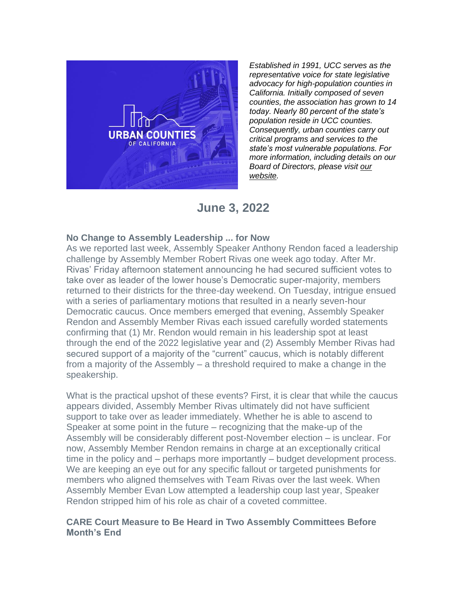

*Established in 1991, UCC serves as the representative voice for state legislative advocacy for high-population counties in California. Initially composed of seven counties, the association has grown to 14 today. Nearly 80 percent of the state's population reside in UCC counties. Consequently, urban counties carry out critical programs and services to the state's most vulnerable populations. For more information, including details on our Board of Directors, please visit [our](https://urbancounties.com/)  [website.](https://urbancounties.com/)*

## **June 3, 2022**

## **No Change to Assembly Leadership ... for Now**

As we reported last week, Assembly Speaker Anthony Rendon faced a leadership challenge by Assembly Member Robert Rivas one week ago today. After Mr. Rivas' Friday afternoon statement announcing he had secured sufficient votes to take over as leader of the lower house's Democratic super-majority, members returned to their districts for the three-day weekend. On Tuesday, intrigue ensued with a series of parliamentary motions that resulted in a nearly seven-hour Democratic caucus. Once members emerged that evening, Assembly Speaker Rendon and Assembly Member Rivas each issued carefully worded statements confirming that (1) Mr. Rendon would remain in his leadership spot at least through the end of the 2022 legislative year and (2) Assembly Member Rivas had secured support of a majority of the "current" caucus, which is notably different from a majority of the Assembly – a threshold required to make a change in the speakership.

What is the practical upshot of these events? First, it is clear that while the caucus appears divided, Assembly Member Rivas ultimately did not have sufficient support to take over as leader immediately. Whether he is able to ascend to Speaker at some point in the future – recognizing that the make-up of the Assembly will be considerably different post-November election – is unclear. For now, Assembly Member Rendon remains in charge at an exceptionally critical time in the policy and – perhaps more importantly – budget development process. We are keeping an eye out for any specific fallout or targeted punishments for members who aligned themselves with Team Rivas over the last week. When Assembly Member Evan Low attempted a leadership coup last year, Speaker Rendon stripped him of his role as chair of a coveted committee.

## **CARE Court Measure to Be Heard in Two Assembly Committees Before Month's End**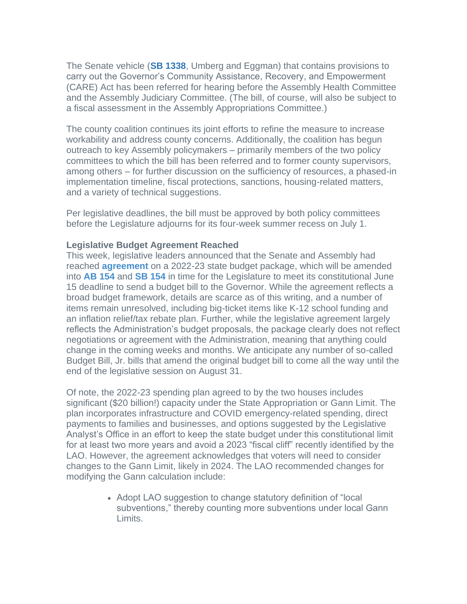The Senate vehicle (**[SB 1338](https://leginfo.legislature.ca.gov/faces/billNavClient.xhtml?bill_id=202120220SB1338)**, Umberg and Eggman) that contains provisions to carry out the Governor's Community Assistance, Recovery, and Empowerment (CARE) Act has been referred for hearing before the Assembly Health Committee and the Assembly Judiciary Committee. (The bill, of course, will also be subject to a fiscal assessment in the Assembly Appropriations Committee.)

The county coalition continues its joint efforts to refine the measure to increase workability and address county concerns. Additionally, the coalition has begun outreach to key Assembly policymakers – primarily members of the two policy committees to which the bill has been referred and to former county supervisors, among others – for further discussion on the sufficiency of resources, a phased-in implementation timeline, fiscal protections, sanctions, housing-related matters, and a variety of technical suggestions.

Per legislative deadlines, the bill must be approved by both policy committees before the Legislature adjourns for its four-week summer recess on July 1.

## **Legislative Budget Agreement Reached**

This week, legislative leaders announced that the Senate and Assembly had reached **[agreement](https://abgt.assembly.ca.gov/sites/abgt.assembly.ca.gov/files/Legislative%20Version%20Summary%20Final.pdf)** on a 2022-23 state budget package, which will be amended into **[AB 154](https://leginfo.legislature.ca.gov/faces/billNavClient.xhtml?bill_id=202120220AB154)** and **[SB 154](https://leginfo.legislature.ca.gov/faces/billNavClient.xhtml?bill_id=202120220SB154)** in time for the Legislature to meet its constitutional June 15 deadline to send a budget bill to the Governor. While the agreement reflects a broad budget framework, details are scarce as of this writing, and a number of items remain unresolved, including big-ticket items like K-12 school funding and an inflation relief/tax rebate plan. Further, while the legislative agreement largely reflects the Administration's budget proposals, the package clearly does not reflect negotiations or agreement with the Administration, meaning that anything could change in the coming weeks and months. We anticipate any number of so-called Budget Bill, Jr. bills that amend the original budget bill to come all the way until the end of the legislative session on August 31.

Of note, the 2022-23 spending plan agreed to by the two houses includes significant (\$20 billion!) capacity under the State Appropriation or Gann Limit. The plan incorporates infrastructure and COVID emergency-related spending, direct payments to families and businesses, and options suggested by the Legislative Analyst's Office in an effort to keep the state budget under this constitutional limit for at least two more years and avoid a 2023 "fiscal cliff" recently identified by the LAO. However, the agreement acknowledges that voters will need to consider changes to the Gann Limit, likely in 2024. The LAO recommended changes for modifying the Gann calculation include:

> • Adopt LAO suggestion to change statutory definition of "local subventions," thereby counting more subventions under local Gann Limits.